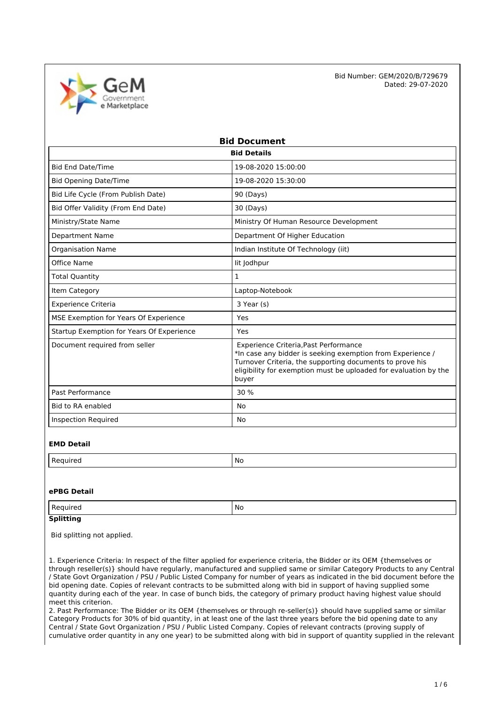

| <b>Bid Document</b>                       |                                                                                                                                                                                                                                              |  |  |
|-------------------------------------------|----------------------------------------------------------------------------------------------------------------------------------------------------------------------------------------------------------------------------------------------|--|--|
| <b>Bid Details</b>                        |                                                                                                                                                                                                                                              |  |  |
| <b>Bid End Date/Time</b>                  | 19-08-2020 15:00:00                                                                                                                                                                                                                          |  |  |
| <b>Bid Opening Date/Time</b>              | 19-08-2020 15:30:00                                                                                                                                                                                                                          |  |  |
| Bid Life Cycle (From Publish Date)        | 90 (Days)                                                                                                                                                                                                                                    |  |  |
| Bid Offer Validity (From End Date)        | 30 (Days)                                                                                                                                                                                                                                    |  |  |
| Ministry/State Name                       | Ministry Of Human Resource Development                                                                                                                                                                                                       |  |  |
| <b>Department Name</b>                    | Department Of Higher Education                                                                                                                                                                                                               |  |  |
| <b>Organisation Name</b>                  | Indian Institute Of Technology (iit)                                                                                                                                                                                                         |  |  |
| Office Name                               | lit Jodhpur                                                                                                                                                                                                                                  |  |  |
| <b>Total Quantity</b>                     | 1                                                                                                                                                                                                                                            |  |  |
| Item Category                             | Laptop-Notebook                                                                                                                                                                                                                              |  |  |
| <b>Experience Criteria</b>                | 3 Year (s)                                                                                                                                                                                                                                   |  |  |
| MSE Exemption for Years Of Experience     | Yes                                                                                                                                                                                                                                          |  |  |
| Startup Exemption for Years Of Experience | Yes                                                                                                                                                                                                                                          |  |  |
| Document required from seller             | Experience Criteria, Past Performance<br>*In case any bidder is seeking exemption from Experience /<br>Turnover Criteria, the supporting documents to prove his<br>eligibility for exemption must be uploaded for evaluation by the<br>buyer |  |  |
| Past Performance                          | 30%                                                                                                                                                                                                                                          |  |  |
| Bid to RA enabled                         | <b>No</b>                                                                                                                                                                                                                                    |  |  |
| <b>Inspection Required</b>                | No                                                                                                                                                                                                                                           |  |  |

#### **EMD Detail**

| M. |
|----|
|    |

### **ePBG Detail**

| Regi<br>⊔rer<br>$\sim$ | No |
|------------------------|----|
|                        |    |

## **Splitting**

Bid splitting not applied.

1. Experience Criteria: In respect of the filter applied for experience criteria, the Bidder or its OEM {themselves or through reseller(s)} should have regularly, manufactured and supplied same or similar Category Products to any Central / State Govt Organization / PSU / Public Listed Company for number of years as indicated in the bid document before the bid opening date. Copies of relevant contracts to be submitted along with bid in support of having supplied some quantity during each of the year. In case of bunch bids, the category of primary product having highest value should meet this criterion.

2. Past Performance: The Bidder or its OEM {themselves or through re-seller(s)} should have supplied same or similar Category Products for 30% of bid quantity, in at least one of the last three years before the bid opening date to any Central / State Govt Organization / PSU / Public Listed Company. Copies of relevant contracts (proving supply of cumulative order quantity in any one year) to be submitted along with bid in support of quantity supplied in the relevant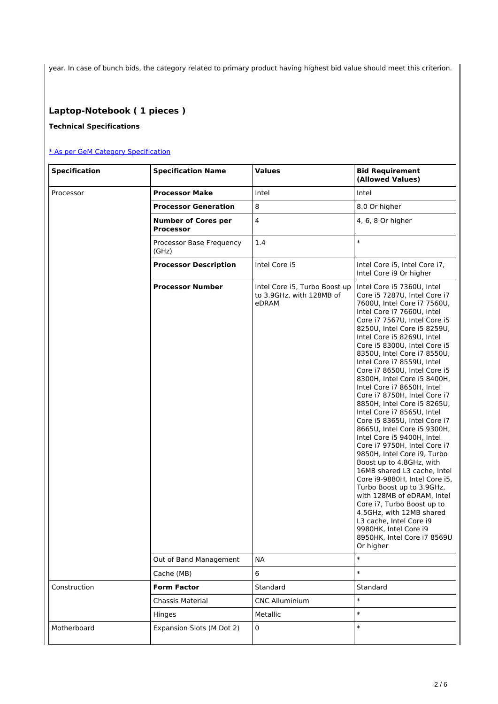year. In case of bunch bids, the category related to primary product having highest bid value should meet this criterion.

# **Laptop-Notebook ( 1 pieces )**

### **Technical Specifications**

### [\\* As per GeM Category Specification](https://bidplus.gem.gov.in/bidding/bid/showCatalogue/MVTvL0muH-dFylnNOSYZGemyHWKEN_vB5to04QsUjIU)

| <b>Specification</b> | <b>Specification Name</b>                      | <b>Values</b>                                                      | <b>Bid Requirement</b><br>(Allowed Values)                                                                                                                                                                                                                                                                                                                                                                                                                                                                                                                                                                                                                                                                                                                                                                                                                                                                                                                                               |
|----------------------|------------------------------------------------|--------------------------------------------------------------------|------------------------------------------------------------------------------------------------------------------------------------------------------------------------------------------------------------------------------------------------------------------------------------------------------------------------------------------------------------------------------------------------------------------------------------------------------------------------------------------------------------------------------------------------------------------------------------------------------------------------------------------------------------------------------------------------------------------------------------------------------------------------------------------------------------------------------------------------------------------------------------------------------------------------------------------------------------------------------------------|
| Processor            | <b>Processor Make</b>                          | Intel                                                              | Intel                                                                                                                                                                                                                                                                                                                                                                                                                                                                                                                                                                                                                                                                                                                                                                                                                                                                                                                                                                                    |
|                      | <b>Processor Generation</b>                    | 8                                                                  | 8.0 Or higher                                                                                                                                                                                                                                                                                                                                                                                                                                                                                                                                                                                                                                                                                                                                                                                                                                                                                                                                                                            |
|                      | <b>Number of Cores per</b><br><b>Processor</b> | $\overline{\mathbf{4}}$                                            | 4, 6, 8 Or higher                                                                                                                                                                                                                                                                                                                                                                                                                                                                                                                                                                                                                                                                                                                                                                                                                                                                                                                                                                        |
|                      | Processor Base Frequency<br>(GHz)              | 1.4                                                                | $\ast$                                                                                                                                                                                                                                                                                                                                                                                                                                                                                                                                                                                                                                                                                                                                                                                                                                                                                                                                                                                   |
|                      | <b>Processor Description</b>                   | Intel Core i5                                                      | Intel Core i5, Intel Core i7,<br>Intel Core i9 Or higher                                                                                                                                                                                                                                                                                                                                                                                                                                                                                                                                                                                                                                                                                                                                                                                                                                                                                                                                 |
|                      | <b>Processor Number</b>                        | Intel Core i5, Turbo Boost up<br>to 3.9GHz, with 128MB of<br>eDRAM | Intel Core i5 7360U, Intel<br>Core i5 7287U, Intel Core i7<br>7600U, Intel Core i7 7560U,<br>Intel Core i7 7660U, Intel<br>Core i7 7567U, Intel Core i5<br>8250U, Intel Core i5 8259U,<br>Intel Core i5 8269U, Intel<br>Core i5 8300U, Intel Core i5<br>8350U, Intel Core i7 8550U,<br>Intel Core i7 8559U. Intel<br>Core i7 8650U, Intel Core i5<br>8300H, Intel Core i5 8400H,<br>Intel Core i7 8650H, Intel<br>Core i7 8750H, Intel Core i7<br>8850H, Intel Core i5 8265U,<br>Intel Core i7 8565U, Intel<br>Core i5 8365U, Intel Core i7<br>8665U, Intel Core i5 9300H,<br>Intel Core i5 9400H, Intel<br>Core i7 9750H, Intel Core i7<br>9850H, Intel Core i9, Turbo<br>Boost up to 4.8GHz, with<br>16MB shared L3 cache, Intel<br>Core i9-9880H, Intel Core i5,<br>Turbo Boost up to 3.9GHz,<br>with 128MB of eDRAM, Intel<br>Core i7, Turbo Boost up to<br>4.5GHz, with 12MB shared<br>L3 cache, Intel Core i9<br>9980HK, Intel Core i9<br>8950HK, Intel Core i7 8569U<br>Or higher |
|                      | Out of Band Management                         | <b>NA</b>                                                          | $\ast$                                                                                                                                                                                                                                                                                                                                                                                                                                                                                                                                                                                                                                                                                                                                                                                                                                                                                                                                                                                   |
|                      | Cache (MB)                                     | 6                                                                  | $\ast$                                                                                                                                                                                                                                                                                                                                                                                                                                                                                                                                                                                                                                                                                                                                                                                                                                                                                                                                                                                   |
| Construction         | <b>Form Factor</b>                             | Standard                                                           | Standard                                                                                                                                                                                                                                                                                                                                                                                                                                                                                                                                                                                                                                                                                                                                                                                                                                                                                                                                                                                 |
|                      | Chassis Material                               | <b>CNC Alluminium</b>                                              | $\ast$                                                                                                                                                                                                                                                                                                                                                                                                                                                                                                                                                                                                                                                                                                                                                                                                                                                                                                                                                                                   |
|                      | Hinges                                         | Metallic                                                           | $\ast$                                                                                                                                                                                                                                                                                                                                                                                                                                                                                                                                                                                                                                                                                                                                                                                                                                                                                                                                                                                   |
| Motherboard          | Expansion Slots (M Dot 2)                      | $\pmb{0}$                                                          | $\ast$                                                                                                                                                                                                                                                                                                                                                                                                                                                                                                                                                                                                                                                                                                                                                                                                                                                                                                                                                                                   |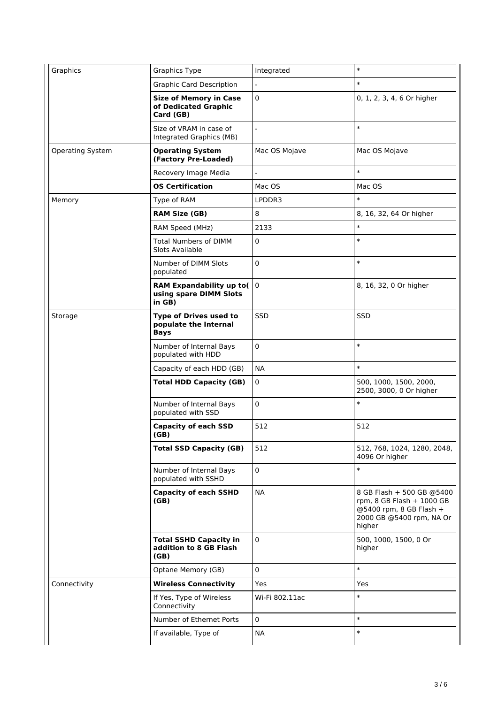| Graphics                | <b>Graphics Type</b>                                                | Integrated               | $\ast$                                                                                                                  |
|-------------------------|---------------------------------------------------------------------|--------------------------|-------------------------------------------------------------------------------------------------------------------------|
|                         | <b>Graphic Card Description</b>                                     | ÷,                       | $\ast$                                                                                                                  |
|                         | <b>Size of Memory in Case</b><br>of Dedicated Graphic<br>Card (GB)  | 0                        | 0, 1, 2, 3, 4, 6 Or higher                                                                                              |
|                         | Size of VRAM in case of<br>Integrated Graphics (MB)                 |                          | $\ast$                                                                                                                  |
| <b>Operating System</b> | <b>Operating System</b><br>(Factory Pre-Loaded)                     | Mac OS Mojave            | Mac OS Mojave                                                                                                           |
|                         | Recovery Image Media                                                | $\overline{\phantom{a}}$ | $\ast$                                                                                                                  |
|                         | <b>OS Certification</b>                                             | Mac OS                   | Mac OS                                                                                                                  |
| Memory                  | Type of RAM                                                         | LPDDR3                   | $\ast$                                                                                                                  |
|                         | <b>RAM Size (GB)</b>                                                | 8                        | 8, 16, 32, 64 Or higher                                                                                                 |
|                         | RAM Speed (MHz)                                                     | 2133                     | $\ast$                                                                                                                  |
|                         | <b>Total Numbers of DIMM</b><br>Slots Available                     | 0                        | $\ast$                                                                                                                  |
|                         | Number of DIMM Slots<br>populated                                   | 0                        | $\ast$                                                                                                                  |
|                         | <b>RAM Expandability up to(</b><br>using spare DIMM Slots<br>in GB) | $\mathbf 0$              | 8, 16, 32, 0 Or higher                                                                                                  |
| Storage                 | Type of Drives used to<br>populate the Internal<br><b>Bays</b>      | SSD                      | SSD                                                                                                                     |
|                         | Number of Internal Bays<br>populated with HDD                       | 0                        | $\ast$                                                                                                                  |
|                         | Capacity of each HDD (GB)                                           | <b>NA</b>                | $\ast$                                                                                                                  |
|                         | <b>Total HDD Capacity (GB)</b>                                      | 0                        | 500, 1000, 1500, 2000,<br>2500, 3000, 0 Or higher                                                                       |
|                         | Number of Internal Bays<br>populated with SSD                       | 0                        | $\ast$                                                                                                                  |
|                         | <b>Capacity of each SSD</b><br>(GB)                                 | 512                      | 512                                                                                                                     |
|                         | <b>Total SSD Capacity (GB)</b>                                      | 512                      | 512, 768, 1024, 1280, 2048,<br>4096 Or higher                                                                           |
|                         | Number of Internal Bays<br>populated with SSHD                      | $\mathbf 0$              | $\ast$                                                                                                                  |
|                         | <b>Capacity of each SSHD</b><br>(GB)                                | NA.                      | 8 GB Flash + 500 GB @5400<br>rpm, 8 GB Flash + 1000 GB<br>@5400 rpm, 8 GB Flash +<br>2000 GB @5400 rpm, NA Or<br>higher |
|                         | <b>Total SSHD Capacity in</b><br>addition to 8 GB Flash<br>(GB)     | $\mathbf 0$              | 500, 1000, 1500, 0 Or<br>higher                                                                                         |
|                         | Optane Memory (GB)                                                  | $\mathbf 0$              | $\ast$                                                                                                                  |
| Connectivity            | <b>Wireless Connectivity</b>                                        | Yes                      | Yes                                                                                                                     |
|                         | If Yes, Type of Wireless<br>Connectivity                            | Wi-Fi 802.11ac           | $\ast$                                                                                                                  |
|                         | Number of Ethernet Ports                                            | $\mathbf 0$              | $\ast$                                                                                                                  |
|                         | If available, Type of                                               | <b>NA</b>                | $\ast$                                                                                                                  |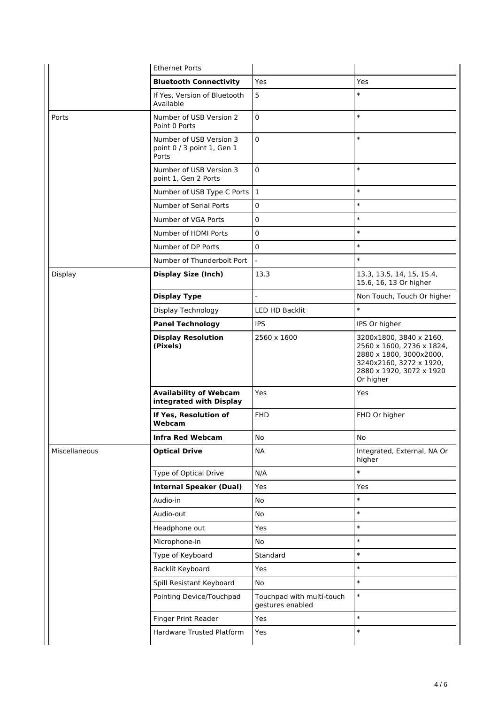|               | <b>Ethernet Ports</b>                                          |                                               |                                                                                                                                                     |
|---------------|----------------------------------------------------------------|-----------------------------------------------|-----------------------------------------------------------------------------------------------------------------------------------------------------|
|               | <b>Bluetooth Connectivity</b>                                  | Yes                                           | Yes                                                                                                                                                 |
|               | If Yes, Version of Bluetooth<br>Available                      | 5                                             | $\ast$                                                                                                                                              |
| Ports         | Number of USB Version 2<br>Point 0 Ports                       | $\pmb{0}$                                     | $\ast$                                                                                                                                              |
|               | Number of USB Version 3<br>point 0 / 3 point 1, Gen 1<br>Ports | $\pmb{0}$                                     | $\ast$                                                                                                                                              |
|               | Number of USB Version 3<br>point 1, Gen 2 Ports                | $\mathbf 0$                                   | $\ast$                                                                                                                                              |
|               | Number of USB Type C Ports   1                                 |                                               | $\ast$                                                                                                                                              |
|               | Number of Serial Ports                                         | 0                                             | $\ast$                                                                                                                                              |
|               | Number of VGA Ports                                            | 0                                             | $\ast$                                                                                                                                              |
|               | Number of HDMI Ports                                           | $\mathbf 0$                                   | $\ast$                                                                                                                                              |
|               | Number of DP Ports                                             | 0                                             | $\ast$                                                                                                                                              |
|               | Number of Thunderbolt Port                                     | $\overline{a}$                                | $\ast$                                                                                                                                              |
| Display       | <b>Display Size (Inch)</b>                                     | 13.3                                          | 13.3, 13.5, 14, 15, 15.4,<br>15.6, 16, 13 Or higher                                                                                                 |
|               | <b>Display Type</b>                                            | $\overline{a}$                                | Non Touch, Touch Or higher                                                                                                                          |
|               | Display Technology                                             | LED HD Backlit                                | $\ast$                                                                                                                                              |
|               | <b>Panel Technology</b>                                        | <b>IPS</b>                                    | IPS Or higher                                                                                                                                       |
|               | <b>Display Resolution</b><br>(Pixels)                          | 2560 x 1600                                   | 3200x1800, 3840 x 2160,<br>2560 x 1600, 2736 x 1824,<br>2880 x 1800, 3000x2000,<br>3240x2160, 3272 x 1920,<br>2880 x 1920, 3072 x 1920<br>Or higher |
|               | <b>Availability of Webcam</b><br>integrated with Display       | Yes                                           | Yes                                                                                                                                                 |
|               | If Yes, Resolution of<br>Webcam                                | <b>FHD</b>                                    | FHD Or higher                                                                                                                                       |
|               | <b>Infra Red Webcam</b>                                        | No                                            | No                                                                                                                                                  |
| Miscellaneous | <b>Optical Drive</b>                                           | <b>NA</b>                                     | Integrated, External, NA Or<br>higher                                                                                                               |
|               | Type of Optical Drive                                          | N/A                                           | $\ast$                                                                                                                                              |
|               | <b>Internal Speaker (Dual)</b>                                 | Yes                                           | Yes                                                                                                                                                 |
|               | Audio-in                                                       | No                                            | $\ast$                                                                                                                                              |
|               | Audio-out                                                      | No                                            | $\ast$                                                                                                                                              |
|               | Headphone out                                                  | Yes                                           | $\ast$                                                                                                                                              |
|               | Microphone-in                                                  | No                                            | $\ast$                                                                                                                                              |
|               | Type of Keyboard                                               | Standard                                      | $\ast$                                                                                                                                              |
|               | Backlit Keyboard                                               | Yes                                           | $\ast$                                                                                                                                              |
|               | Spill Resistant Keyboard                                       | No                                            | $\ast$                                                                                                                                              |
|               | Pointing Device/Touchpad                                       | Touchpad with multi-touch<br>gestures enabled | $\ast$                                                                                                                                              |
|               | Finger Print Reader                                            | Yes                                           | $\ast$                                                                                                                                              |
|               | Hardware Trusted Platform                                      | Yes                                           | $\ast$                                                                                                                                              |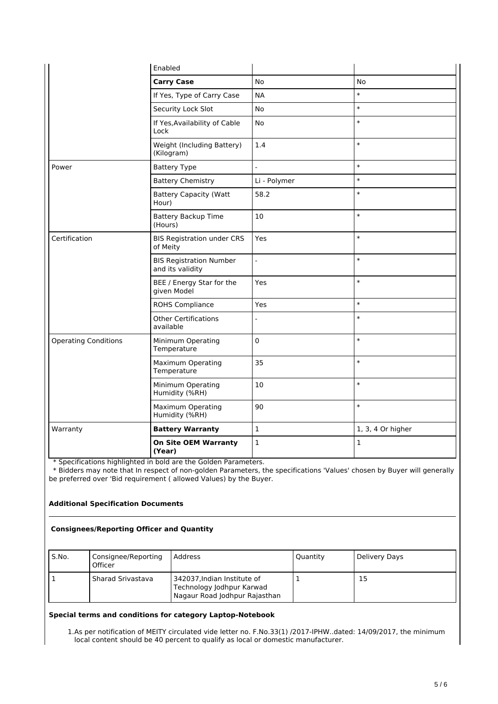|                             | Enabled                                            |                |                   |
|-----------------------------|----------------------------------------------------|----------------|-------------------|
|                             | <b>Carry Case</b>                                  | <b>No</b>      | No                |
|                             | If Yes, Type of Carry Case                         | <b>NA</b>      | $\ast$            |
|                             | Security Lock Slot                                 | <b>No</b>      | $\ast$            |
|                             | If Yes, Availability of Cable<br>Lock              | <b>No</b>      | $\ast$            |
|                             | Weight (Including Battery)<br>(Kilogram)           | 1.4            | $\ast$            |
| Power                       | <b>Battery Type</b>                                | $\overline{a}$ | $\ast$            |
|                             | <b>Battery Chemistry</b>                           | Li - Polymer   | $\ast$            |
|                             | <b>Battery Capacity (Watt</b><br>Hour)             | 58.2           | $\ast$            |
|                             | <b>Battery Backup Time</b><br>(Hours)              | 10             | $\ast$            |
| Certification               | <b>BIS Registration under CRS</b><br>of Meity      | Yes            | $\ast$            |
|                             | <b>BIS Registration Number</b><br>and its validity | $\overline{a}$ | $\ast$            |
|                             | BEE / Energy Star for the<br>given Model           | Yes            | $\ast$            |
|                             | ROHS Compliance                                    | <b>Yes</b>     | $\ast$            |
|                             | <b>Other Certifications</b><br>available           |                | $\ast$            |
| <b>Operating Conditions</b> | Minimum Operating<br>Temperature                   | $\pmb{0}$      | $\ast$            |
|                             | <b>Maximum Operating</b><br>Temperature            | 35             | $\ast$            |
|                             | Minimum Operating<br>Humidity (%RH)                | 10             | $\ast$            |
|                             | <b>Maximum Operating</b><br>Humidity (%RH)         | 90             | $\ast$            |
| Warranty                    | <b>Battery Warranty</b>                            | $\mathbf 1$    | 1, 3, 4 Or higher |
|                             | <b>On Site OEM Warranty</b><br>(Year)              | $\mathbf 1$    | 1                 |

\* Specifications highlighted in bold are the Golden Parameters.

 \* Bidders may note that In respect of non-golden Parameters, the specifications 'Values' chosen by Buyer will generally be preferred over 'Bid requirement ( allowed Values) by the Buyer.

#### **Additional Specification Documents**

#### **Consignees/Reporting Officer and Quantity**

| S.No. | Consignee/Reporting<br>Officer | Address                                                                                   | Quantity | Delivery Days |
|-------|--------------------------------|-------------------------------------------------------------------------------------------|----------|---------------|
|       | Sharad Srivastava              | 342037, Indian Institute of<br>Technology Jodhpur Karwad<br>Nagaur Road Jodhpur Rajasthan |          | 15            |

#### **Special terms and conditions for category Laptop-Notebook**

1.As per notification of MEITY circulated vide letter no. F.No.33(1) /2017-IPHW..dated: 14/09/2017, the minimum local content should be 40 percent to qualify as local or domestic manufacturer.